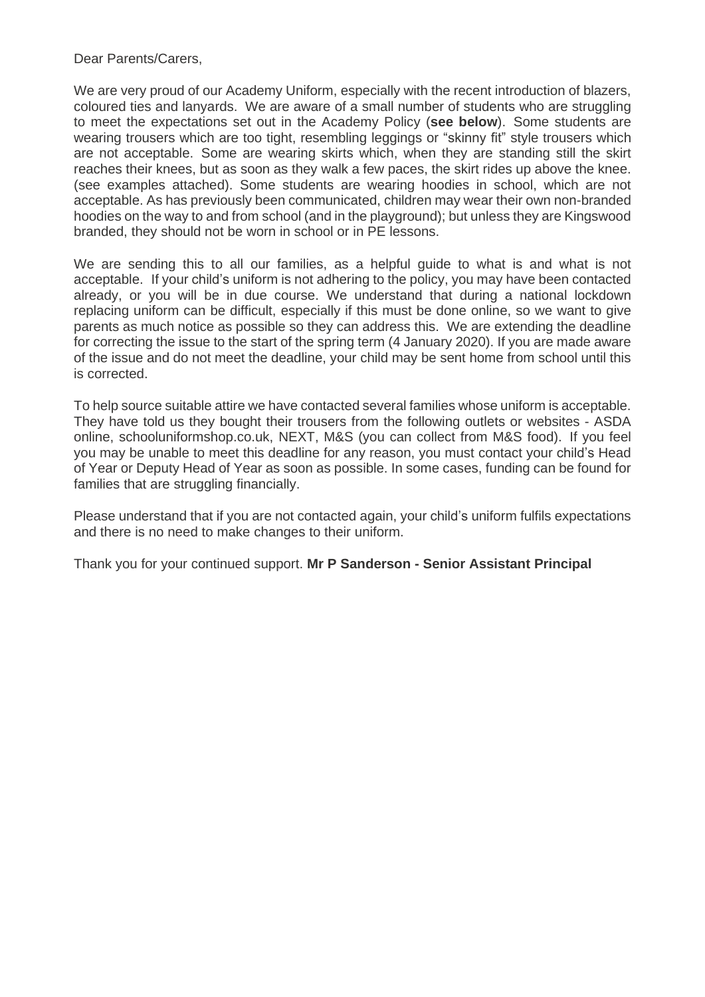Dear Parents/Carers,

We are very proud of our Academy Uniform, especially with the recent introduction of blazers, coloured ties and lanyards. We are aware of a small number of students who are struggling to meet the expectations set out in the Academy Policy (**see below**). Some students are wearing trousers which are too tight, resembling leggings or "skinny fit" style trousers which are not acceptable. Some are wearing skirts which, when they are standing still the skirt reaches their knees, but as soon as they walk a few paces, the skirt rides up above the knee. (see examples attached). Some students are wearing hoodies in school, which are not acceptable. As has previously been communicated, children may wear their own non-branded hoodies on the way to and from school (and in the playground); but unless they are Kingswood branded, they should not be worn in school or in PE lessons.

We are sending this to all our families, as a helpful guide to what is and what is not acceptable. If your child's uniform is not adhering to the policy, you may have been contacted already, or you will be in due course. We understand that during a national lockdown replacing uniform can be difficult, especially if this must be done online, so we want to give parents as much notice as possible so they can address this. We are extending the deadline for correcting the issue to the start of the spring term (4 January 2020). If you are made aware of the issue and do not meet the deadline, your child may be sent home from school until this is corrected.

To help source suitable attire we have contacted several families whose uniform is acceptable. They have told us they bought their trousers from the following outlets or websites - ASDA online, schooluniformshop.co.uk, NEXT, M&S (you can collect from M&S food). If you feel you may be unable to meet this deadline for any reason, you must contact your child's Head of Year or Deputy Head of Year as soon as possible. In some cases, funding can be found for families that are struggling financially.

Please understand that if you are not contacted again, your child's uniform fulfils expectations and there is no need to make changes to their uniform.

Thank you for your continued support. **Mr P Sanderson - Senior Assistant Principal**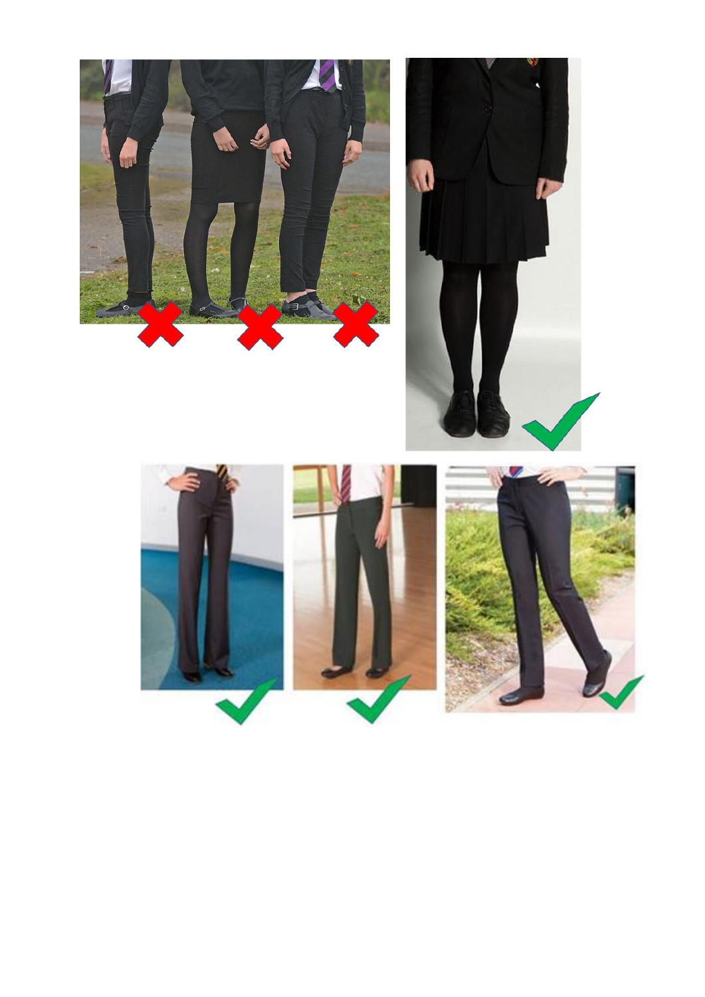